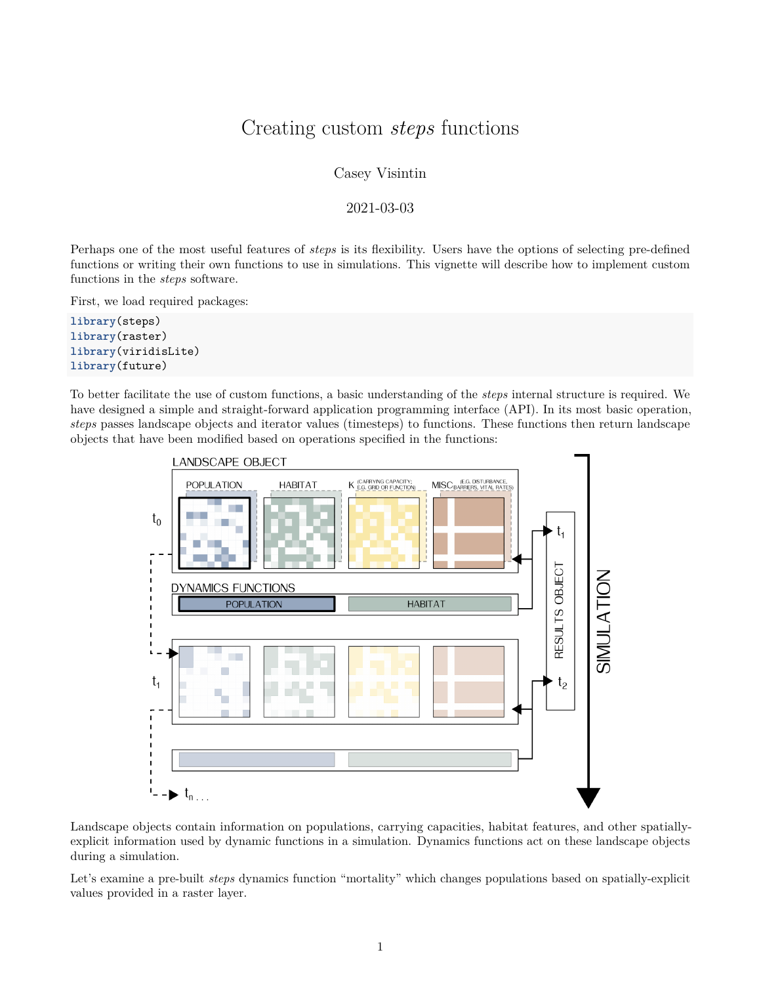## Creating custom *steps* functions

Casey Visintin

2021-03-03

Perhaps one of the most useful features of *steps* is its flexibility. Users have the options of selecting pre-defined functions or writing their own functions to use in simulations. This vignette will describe how to implement custom functions in the *steps* software.

First, we load required packages:

**library**(steps) **library**(raster) **library**(viridisLite) **library**(future)

To better facilitate the use of custom functions, a basic understanding of the *steps* internal structure is required. We have designed a simple and straight-forward application programming interface (API). In its most basic operation, *steps* passes landscape objects and iterator values (timesteps) to functions. These functions then return landscape objects that have been modified based on operations specified in the functions:



Landscape objects contain information on populations, carrying capacities, habitat features, and other spatiallyexplicit information used by dynamic functions in a simulation. Dynamics functions act on these landscape objects during a simulation.

Let's examine a pre-built *steps* dynamics function "mortality" which changes populations based on spatially-explicit values provided in a raster layer.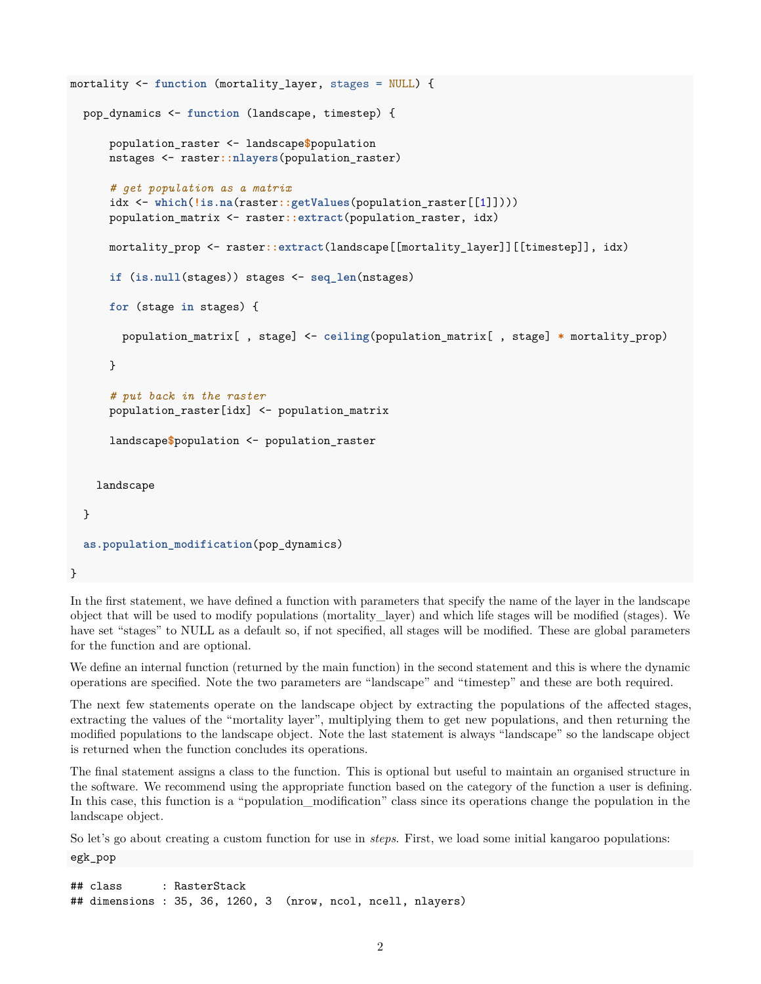```
mortality <- function (mortality_layer, stages = NULL) {
  pop_dynamics <- function (landscape, timestep) {
      population_raster <- landscape$population
      nstages <- raster::nlayers(population_raster)
      # get population as a matrix
      idx <- which(!is.na(raster::getValues(population_raster[[1]])))
      population_matrix <- raster::extract(population_raster, idx)
      mortality_prop <- raster::extract(landscape[[mortality_layer]][[timestep]], idx)
      if (is.null(stages)) stages <- seq_len(nstages)
      for (stage in stages) {
        population_matrix[ , stage] <- ceiling(population_matrix[ , stage] * mortality_prop)
      }
      # put back in the raster
      population_raster[idx] <- population_matrix
      landscape$population <- population_raster
    landscape
  }
  as.population_modification(pop_dynamics)
}
```
In the first statement, we have defined a function with parameters that specify the name of the layer in the landscape object that will be used to modify populations (mortality\_layer) and which life stages will be modified (stages). We have set "stages" to NULL as a default so, if not specified, all stages will be modified. These are global parameters for the function and are optional.

We define an internal function (returned by the main function) in the second statement and this is where the dynamic operations are specified. Note the two parameters are "landscape" and "timestep" and these are both required.

The next few statements operate on the landscape object by extracting the populations of the affected stages, extracting the values of the "mortality layer", multiplying them to get new populations, and then returning the modified populations to the landscape object. Note the last statement is always "landscape" so the landscape object is returned when the function concludes its operations.

The final statement assigns a class to the function. This is optional but useful to maintain an organised structure in the software. We recommend using the appropriate function based on the category of the function a user is defining. In this case, this function is a "population modification" class since its operations change the population in the landscape object.

So let's go about creating a custom function for use in *steps*. First, we load some initial kangaroo populations:

egk\_pop

## class : RasterStack ## dimensions : 35, 36, 1260, 3 (nrow, ncol, ncell, nlayers)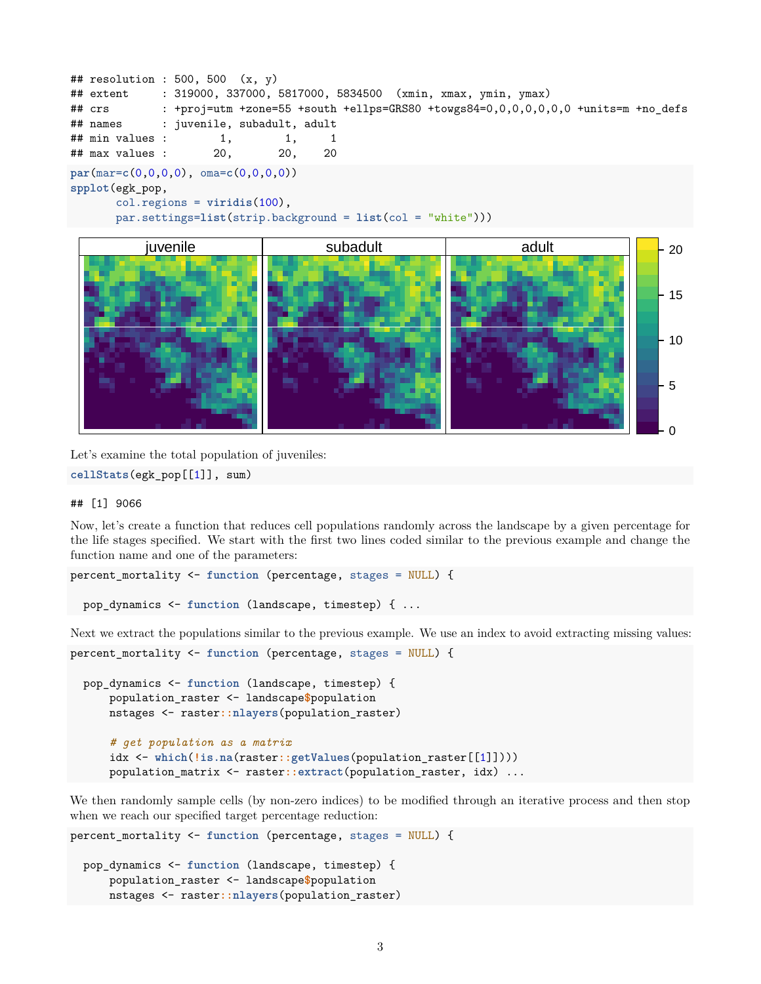```
## resolution : 500, 500 (x, y)## extent : 319000, 337000, 5817000, 5834500 (xmin, xmax, ymin, ymax)
## crs : +proj=utm +zone=55 +south +ellps=GRS80 +towgs84=0,0,0,0,0,0,0 +units=m +no_defs
## names : juvenile, subadult, adult
## min values : 1, 1, 1, 1
## max values : 20, 20, 20
par(mar=c(0,0,0,0), oma=c(0,0,0,0))
spplot(egk_pop,
      col.regions = viridis(100),
      par.settings=list(strip.background = list(col = "white")))
```


Let's examine the total population of juveniles:

**cellStats**(egk\_pop[[1]], sum)

## ## [1] 9066

Now, let's create a function that reduces cell populations randomly across the landscape by a given percentage for the life stages specified. We start with the first two lines coded similar to the previous example and change the function name and one of the parameters:

```
percent_mortality <- function (percentage, stages = NULL) {
```
pop\_dynamics <- **function** (landscape, timestep) { ...

Next we extract the populations similar to the previous example. We use an index to avoid extracting missing values: percent\_mortality <- **function** (percentage, stages = NULL) {

```
pop_dynamics <- function (landscape, timestep) {
    population_raster <- landscape$population
   nstages <- raster::nlayers(population_raster)
    # get population as a matrix
    idx <- which(!is.na(raster::getValues(population_raster[[1]])))
    population_matrix <- raster::extract(population_raster, idx) ...
```
We then randomly sample cells (by non-zero indices) to be modified through an iterative process and then stop when we reach our specified target percentage reduction:

```
percent_mortality <- function (percentage, stages = NULL) {
  pop_dynamics <- function (landscape, timestep) {
      population_raster <- landscape$population
     nstages <- raster::nlayers(population_raster)
```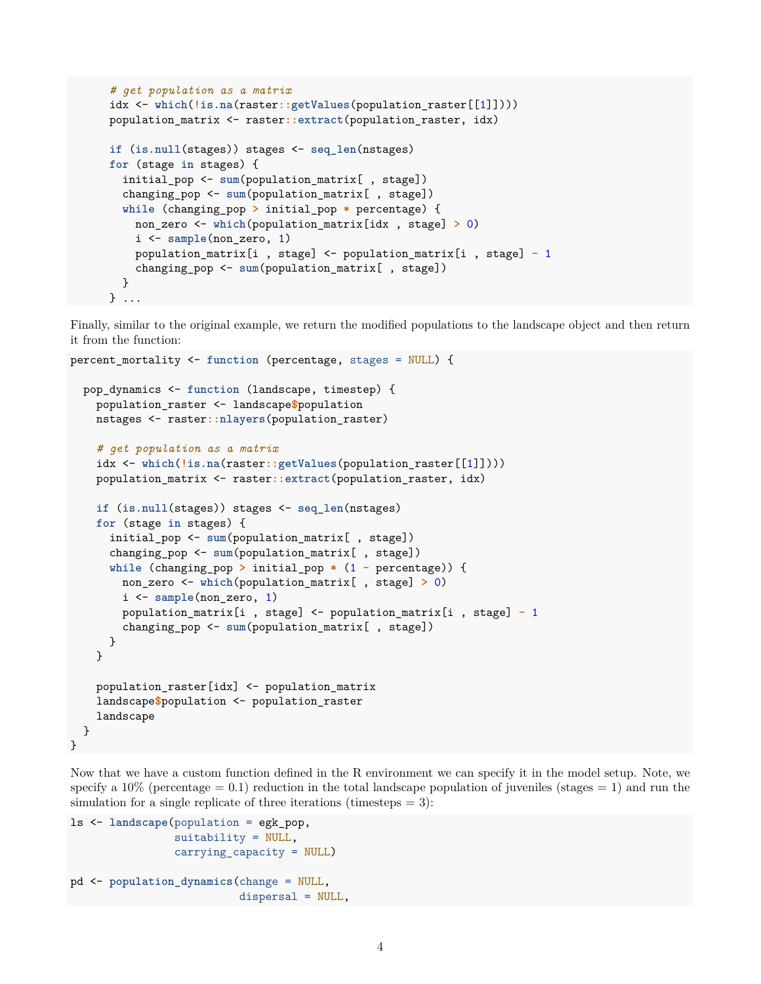```
# get population as a matrix
idx <- which(!is.na(raster::getValues(population_raster[[1]])))
population_matrix <- raster::extract(population_raster, idx)
if (is.null(stages)) stages <- seq_len(nstages)
for (stage in stages) {
 initial_pop <- sum(population_matrix[ , stage])
 changing_pop <- sum(population_matrix[ , stage])
 while (changing_pop > initial_pop * percentage) {
    non_zero <- which(population_matrix[idx , stage] > 0)
    i <- sample(non_zero, 1)
    population_matrix[i , stage] <- population_matrix[i , stage] - 1
    changing pop \leq -\text{sum}(p) population matrix [, stage])
 }
} ...
```
Finally, similar to the original example, we return the modified populations to the landscape object and then return it from the function:

```
percent_mortality <- function (percentage, stages = NULL) {
  pop_dynamics <- function (landscape, timestep) {
    population_raster <- landscape$population
    nstages <- raster::nlayers(population_raster)
    # get population as a matrix
    idx <- which(!is.na(raster::getValues(population_raster[[1]])))
    population_matrix <- raster::extract(population_raster, idx)
    if (is.null(stages)) stages <- seq_len(nstages)
    for (stage in stages) {
      initial_pop <- sum(population_matrix[ , stage])
      changing_pop <- sum(population_matrix[ , stage])
      while (changing_pop > initial_pop * (1 - percentage)) {
        non_zero <- which(population_matrix[ , stage] > 0)
        i <- sample(non_zero, 1)
        population_matrix[i , stage] <- population_matrix[i , stage] - 1
        changing_pop <- sum(population_matrix[ , stage])
     }
    }
    population_raster[idx] <- population_matrix
    landscape$population <- population_raster
    landscape
  }
}
```
Now that we have a custom function defined in the R environment we can specify it in the model setup. Note, we specify a  $10\%$  (percentage = 0.1) reduction in the total landscape population of juveniles (stages = 1) and run the simulation for a single replicate of three iterations (timesteps  $= 3$ ):

```
ls <- landscape(population = egk_pop,
                suitability = NULL,
                carrying_capacity = NULL)
pd <- population_dynamics(change = NULL,
                          dispersal = NULL,
```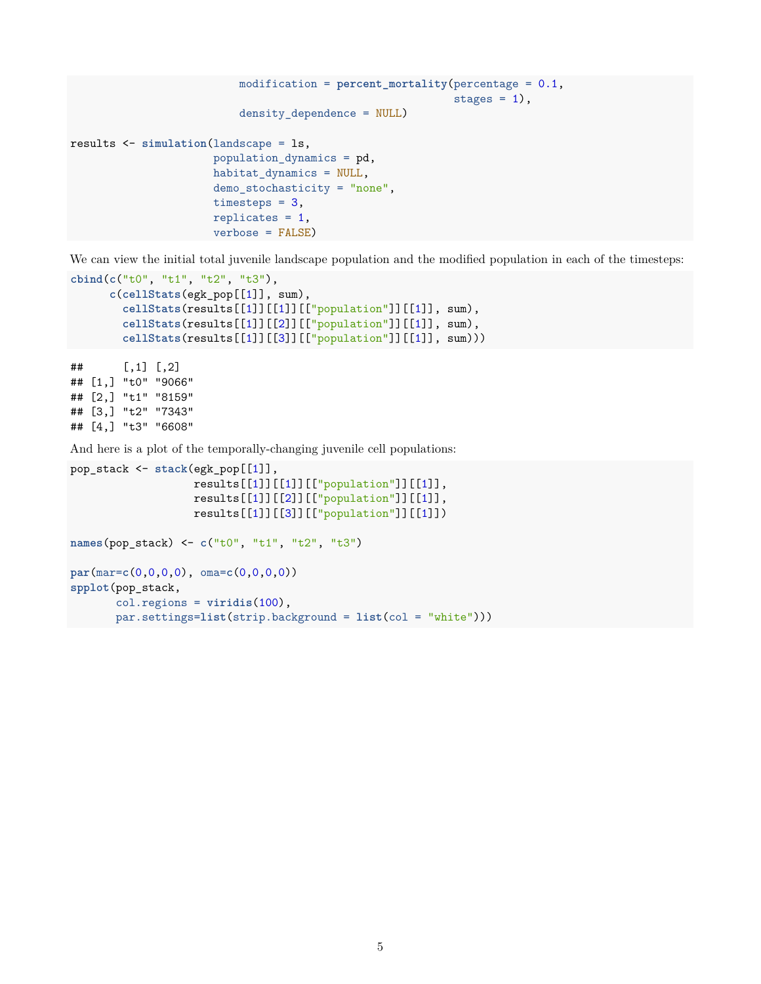```
modification = percent_mortality(percentage = 0.1,
                                                            stages = 1,
                          density_dependence = NULL)
results <- simulation(landscape = ls,
                      population_dynamics = pd,
                      habitat dynamics = NULL,
                      demo_stochasticity = "none",
                      timesteps = 3,
                      replicates = 1,
                      verbose = FALSE)
```
We can view the initial total juvenile landscape population and the modified population in each of the timesteps:

```
cbind(c("t0", "t1", "t2", "t3"),
      c(cellStats(egk_pop[[1]], sum),
        cellStats(results[[1]][[1]][["population"]][[1]], sum),
        cellStats(results[[1]][[2]][["population"]][[1]], sum),
        cellStats(results[[1]][[3]][["population"]][[1]], sum)))
## [,1] [,2]
## [1,] "t0" "9066"
## [2,] "t1" "8159"
## [3,] "t2" "7343"
## [4,] "t3" "6608"
```
And here is a plot of the temporally-changing juvenile cell populations:

```
pop_stack <- stack(egk_pop[[1]],
                   results[[1]][[1]][["population"]][[1]],
                   results[[1]][[2]][["population"]][[1]],
                   results[[1]][[3]][["population"]][[1]])
names(pop_stack) <- c("t0", "t1", "t2", "t3")
par(mar=c(0,0,0,0), oma=c(0,0,0,0))
spplot(pop_stack,
       col.regions = viridis(100),
       par.settings=list(strip.background = list(col = "white")))
```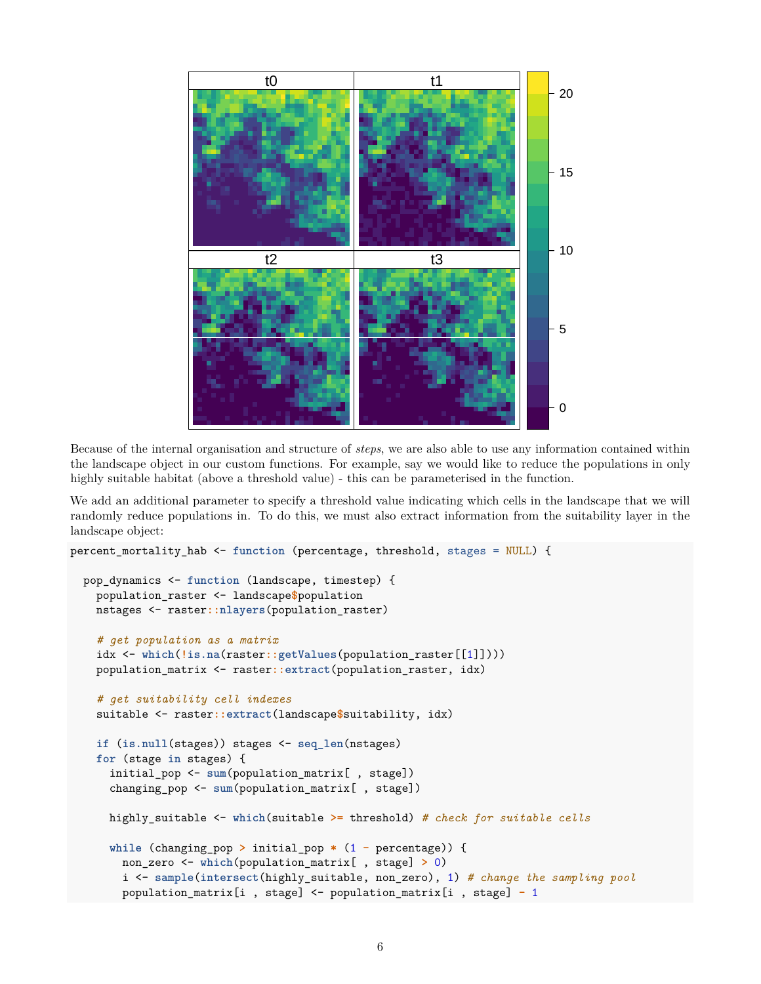

Because of the internal organisation and structure of *steps*, we are also able to use any information contained within the landscape object in our custom functions. For example, say we would like to reduce the populations in only highly suitable habitat (above a threshold value) - this can be parameterised in the function.

We add an additional parameter to specify a threshold value indicating which cells in the landscape that we will randomly reduce populations in. To do this, we must also extract information from the suitability layer in the landscape object:

```
percent_mortality_hab <- function (percentage, threshold, stages = NULL) {
  pop_dynamics <- function (landscape, timestep) {
    population_raster <- landscape$population
   nstages <- raster::nlayers(population_raster)
    # get population as a matrix
    idx <- which(!is.na(raster::getValues(population_raster[[1]])))
    population_matrix <- raster::extract(population_raster, idx)
    # get suitability cell indexes
    suitable <- raster::extract(landscape$suitability, idx)
    if (is.null(stages)) stages <- seq_len(nstages)
    for (stage in stages) {
      initial_pop <- sum(population_matrix[ , stage])
      changing_pop <- sum(population_matrix[ , stage])
      highly_suitable <- which(suitable >= threshold) # check for suitable cells
      while (changing_pop > initial_pop * (1 - percentage)) {
        non_zero <- which(population_matrix[ , stage] > 0)
        i <- sample(intersect(highly_suitable, non_zero), 1) # change the sampling pool
        population_matrix[i , stage] <- population_matrix[i , stage] - 1
```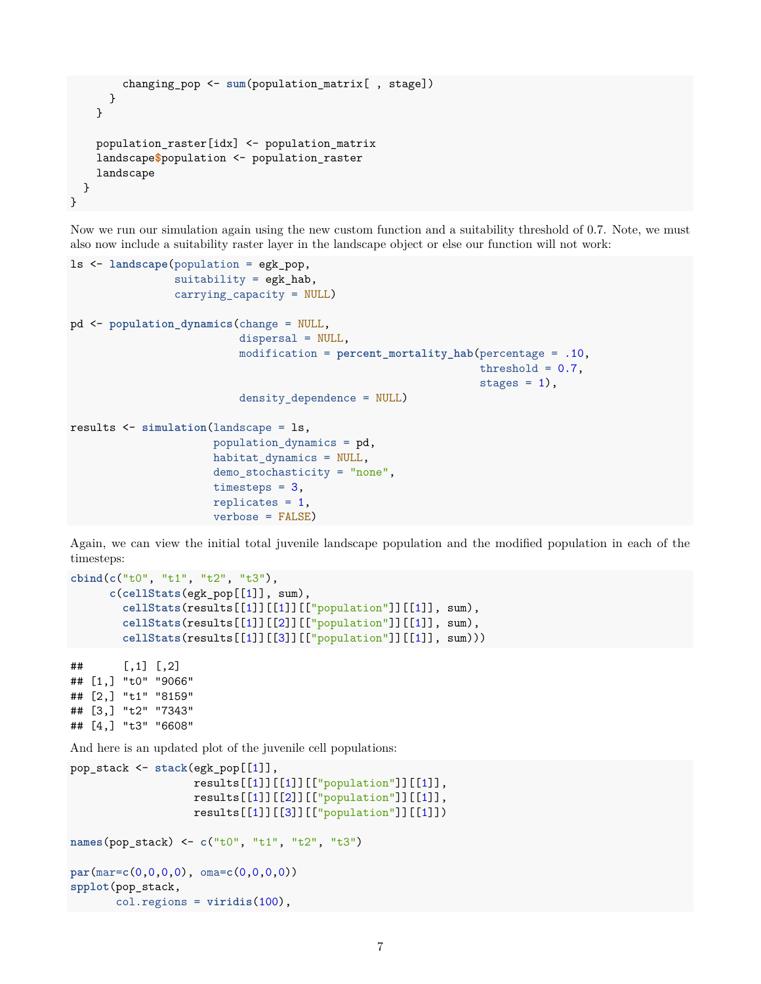```
changing_pop <- sum(population_matrix[ , stage])
      }
    }
    population_raster[idx] <- population_matrix
    landscape$population <- population_raster
    landscape
  }
}
```
Now we run our simulation again using the new custom function and a suitability threshold of 0.7. Note, we must also now include a suitability raster layer in the landscape object or else our function will not work:

```
ls <- landscape(population = egk_pop,
                suitability = egk_hab,
                carrying_capacity = NULL)
pd <- population_dynamics(change = NULL,
                          dispersal = NULL,
                          modification = percent_mortality_hab(percentage = .10,
                                                                threshold = 0.7,
                                                                stages = 1,
                          density dependence = NULL)
results <- simulation(landscape = ls,
                      population_dynamics = pd,
                      habitat_dynamics = NULL,
                      demo_stochasticity = "none",
                      timesteps = 3,
                      replicates = 1,
                      verbose = FALSE)
```
Again, we can view the initial total juvenile landscape population and the modified population in each of the timesteps:

```
cbind(c("t0", "t1", "t2", "t3"),
      c(cellStats(egk_pop[[1]], sum),
        cellStats(results[[1]][[1]][["population"]][[1]], sum),
        cellStats(results[[1]][[2]][["population"]][[1]], sum),
        cellStats(results[[1]][[3]][["population"]][[1]], sum)))
```
## [,1] [,2] ## [1,] "t0" "9066" ## [2,] "t1" "8159" ## [3,] "t2" "7343" ## [4,] "t3" "6608"

And here is an updated plot of the juvenile cell populations:

```
pop_stack <- stack(egk_pop[[1]],
                   results[[1]][[1]][["population"]][[1]],
                   results[[1]][[2]][["population"]][[1]],
                   results[[1]][[3]][["population"]][[1]])
names(pop_stack) <- c("t0", "t1", "t2", "t3")
par(mar=c(0,0,0,0), oma=c(0,0,0,0))
spplot(pop_stack,
       col.regions = viridis(100),
```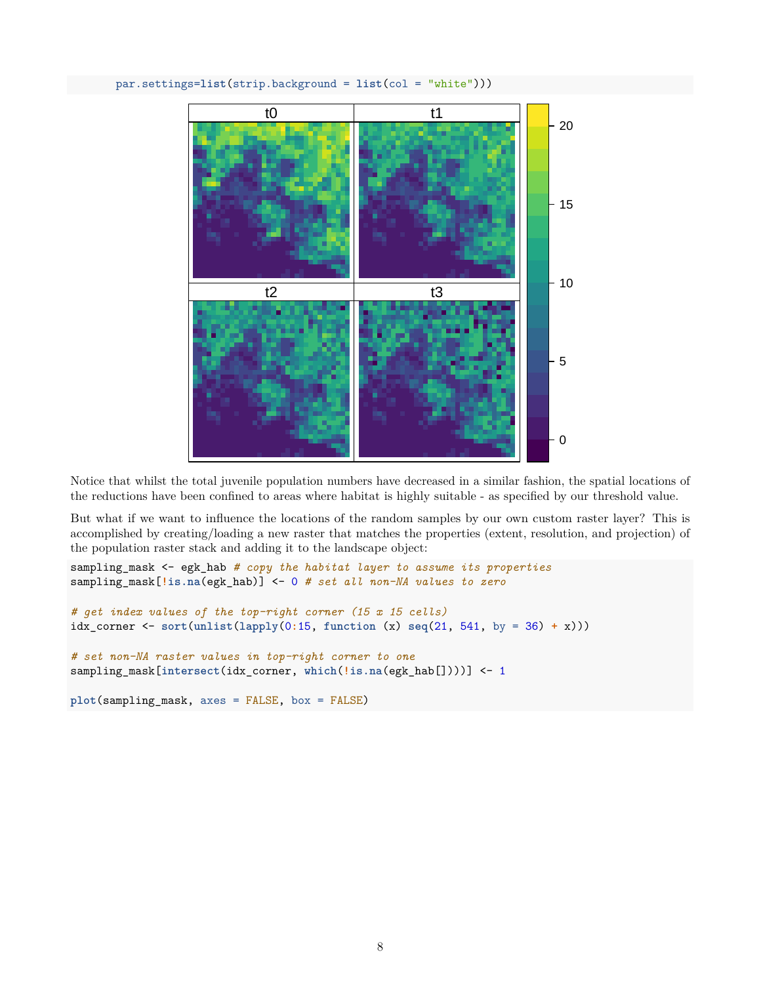## par.settings=**list**(strip.background = **list**(col = "white")))



Notice that whilst the total juvenile population numbers have decreased in a similar fashion, the spatial locations of the reductions have been confined to areas where habitat is highly suitable - as specified by our threshold value.

But what if we want to influence the locations of the random samples by our own custom raster layer? This is accomplished by creating/loading a new raster that matches the properties (extent, resolution, and projection) of the population raster stack and adding it to the landscape object:

```
sampling_mask <- egk_hab # copy the habitat layer to assume its properties
sampling_mask[!is.na(egk_hab)] <- 0 # set all non-NA values to zero
```

```
# get index values of the top-right corner (15 x 15 cells)
idx_corner <- sort(unlist(lapply(0:15, function (x) seq(21, 541, by = 36) + x)))
```

```
# set non-NA raster values in top-right corner to one
sampling_mask[intersect(idx_corner, which(!is.na(egk_hab[])))] <- 1
```

```
plot(sampling_mask, axes = FALSE, box = FALSE)
```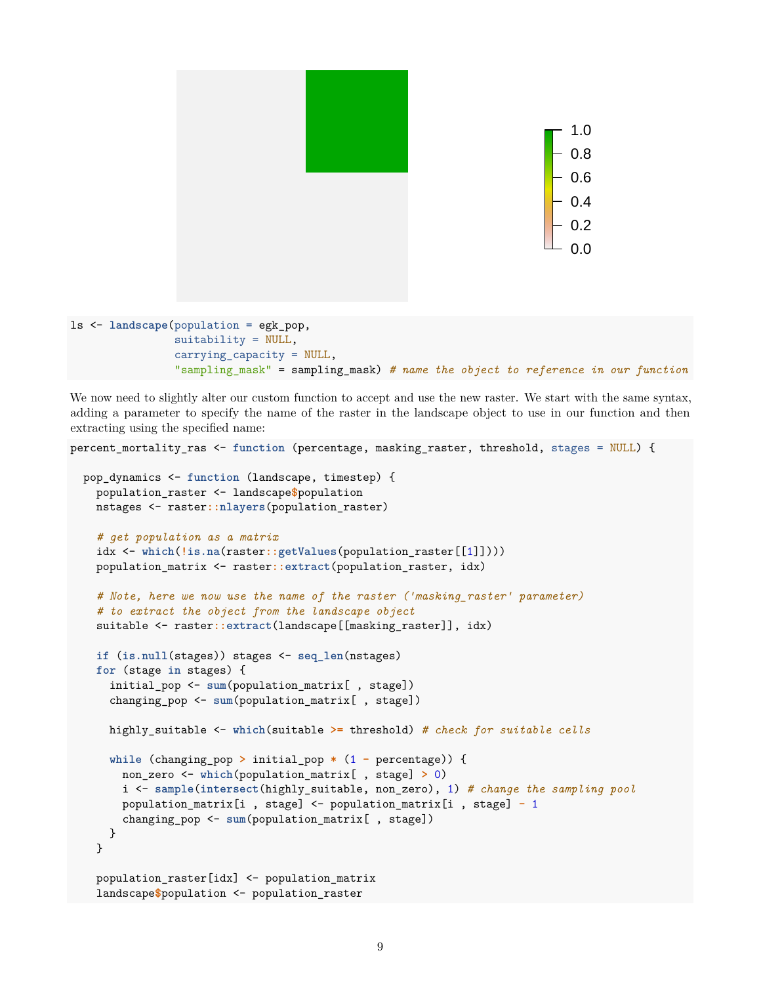

```
suitability = NULL,
carrying_capacity = NULL,
"sampling_mask" = sampling_mask) # name the object to reference in our function
```
We now need to slightly alter our custom function to accept and use the new raster. We start with the same syntax, adding a parameter to specify the name of the raster in the landscape object to use in our function and then extracting using the specified name:

```
percent_mortality_ras <- function (percentage, masking_raster, threshold, stages = NULL) {
  pop_dynamics <- function (landscape, timestep) {
    population_raster <- landscape$population
   nstages <- raster::nlayers(population_raster)
    # get population as a matrix
    idx <- which(!is.na(raster::getValues(population_raster[[1]])))
    population_matrix <- raster::extract(population_raster, idx)
    # Note, here we now use the name of the raster ('masking_raster' parameter)
    # to extract the object from the landscape object
    suitable <- raster::extract(landscape[[masking_raster]], idx)
    if (is.null(stages)) stages <- seq_len(nstages)
    for (stage in stages) {
      initial_pop <- sum(population_matrix[ , stage])
      changing_pop <- sum(population_matrix[ , stage])
      highly_suitable <- which(suitable >= threshold) # check for suitable cells
      while (changing_pop > initial_pop * (1 - percentage)) {
        non_zero <- which(population_matrix[ , stage] > 0)
        i <- sample(intersect(highly_suitable, non_zero), 1) # change the sampling pool
        population_matrix[i , stage] <- population_matrix[i , stage] - 1
        changing_pop <- sum(population_matrix[ , stage])
     }
    }
    population_raster[idx] <- population_matrix
    landscape$population <- population_raster
```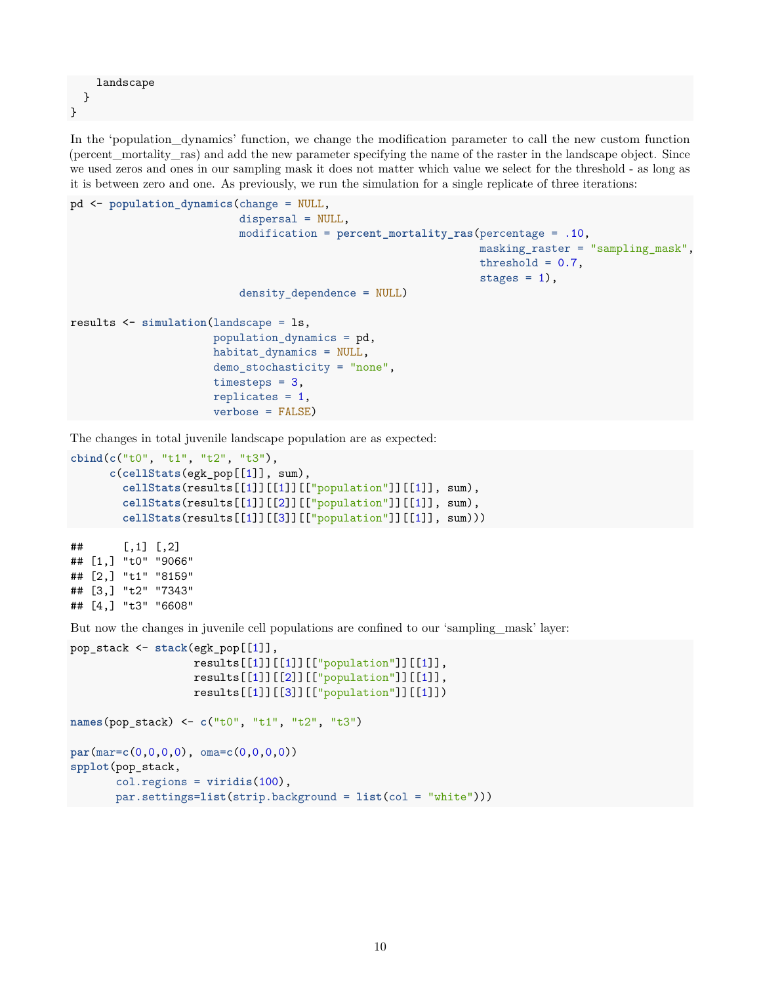landscape } }

In the 'population\_dynamics' function, we change the modification parameter to call the new custom function (percent\_mortality\_ras) and add the new parameter specifying the name of the raster in the landscape object. Since we used zeros and ones in our sampling mask it does not matter which value we select for the threshold - as long as it is between zero and one. As previously, we run the simulation for a single replicate of three iterations:

```
pd <- population_dynamics(change = NULL,
                          dispersal = NULL,
                          modification = percent_mortality_ras(percentage = .10,
                                                                 masking_raster = "sampling_mask",
                                                                threshold = 0.7,
                                                                 stages = 1,
                          density_dependence = NULL)
results <- simulation(landscape = ls,
                      population dynamics = pd,
                      habitat_dynamics = NULL,
                      demo_stochasticity = "none",
                      timesteps = 3,
                      replicates = 1,
                      verbose = FALSE)
```
The changes in total juvenile landscape population are as expected:

```
cbind(c("t0", "t1", "t2", "t3"),
      c(cellStats(egk_pop[[1]], sum),
       cellStats(results[[1]][[1]][["population"]][[1]], sum),
       cellStats(results[[1]][[2]][["population"]][[1]], sum),
       cellStats(results[[1]][[3]][["population"]][[1]], sum)))
## [,1] [,2]
## [1,] "t0" "9066"
```
## [2,] "t1" "8159" ## [3,] "t2" "7343" ## [4,] "t3" "6608"

But now the changes in juvenile cell populations are confined to our 'sampling\_mask' layer:

```
pop_stack <- stack(egk_pop[[1]],
                   results[[1]][[1]][["population"]][[1]],
                   results[[1]][[2]][["population"]][[1]],
                   results[[1]][[3]][["population"]][[1]])
names(pop_stack) <- c("t0", "t1", "t2", "t3")
par(mar=c(0,0,0,0), oma=c(0,0,0,0))
spplot(pop_stack,
       col.regions = viridis(100),
       par.settings=list(strip.background = list(col = "white")))
```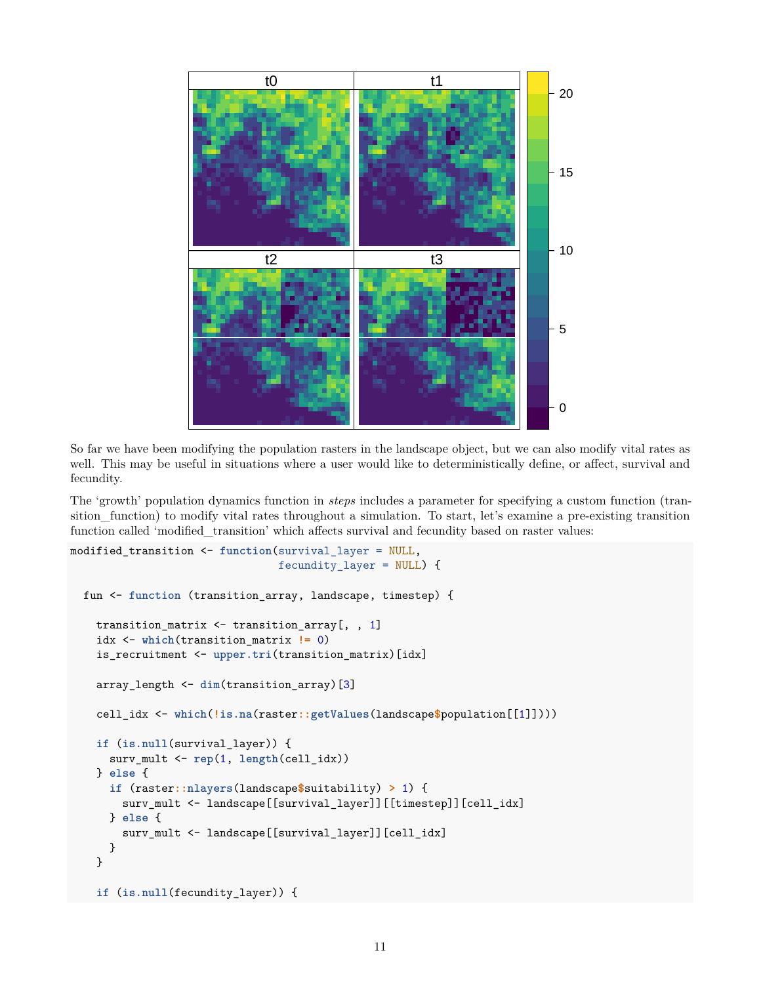

So far we have been modifying the population rasters in the landscape object, but we can also modify vital rates as well. This may be useful in situations where a user would like to deterministically define, or affect, survival and fecundity.

The 'growth' population dynamics function in *steps* includes a parameter for specifying a custom function (transition\_function) to modify vital rates throughout a simulation. To start, let's examine a pre-existing transition function called 'modified\_transition' which affects survival and fecundity based on raster values:

```
modified_transition <- function(survival_layer = NULL,
                                fecundity_layer = NULL) {
  fun <- function (transition_array, landscape, timestep) {
    transition_matrix <- transition_array[, , 1]
    idx <- which(transition_matrix != 0)
    is_recruitment <- upper.tri(transition_matrix)[idx]
    array_length <- dim(transition_array)[3]
    cell_idx <- which(!is.na(raster::getValues(landscape$population[[1]])))
    if (is.null(survival_layer)) {
     surv_mult <- rep(1, length(cell_idx))
    } else {
      if (raster::nlayers(landscape$suitability) > 1) {
        surv_mult <- landscape[[survival_layer]][[timestep]][cell_idx]
      } else {
        surv_mult <- landscape[[survival_layer]][cell_idx]
      }
    }
    if (is.null(fecundity_layer)) {
```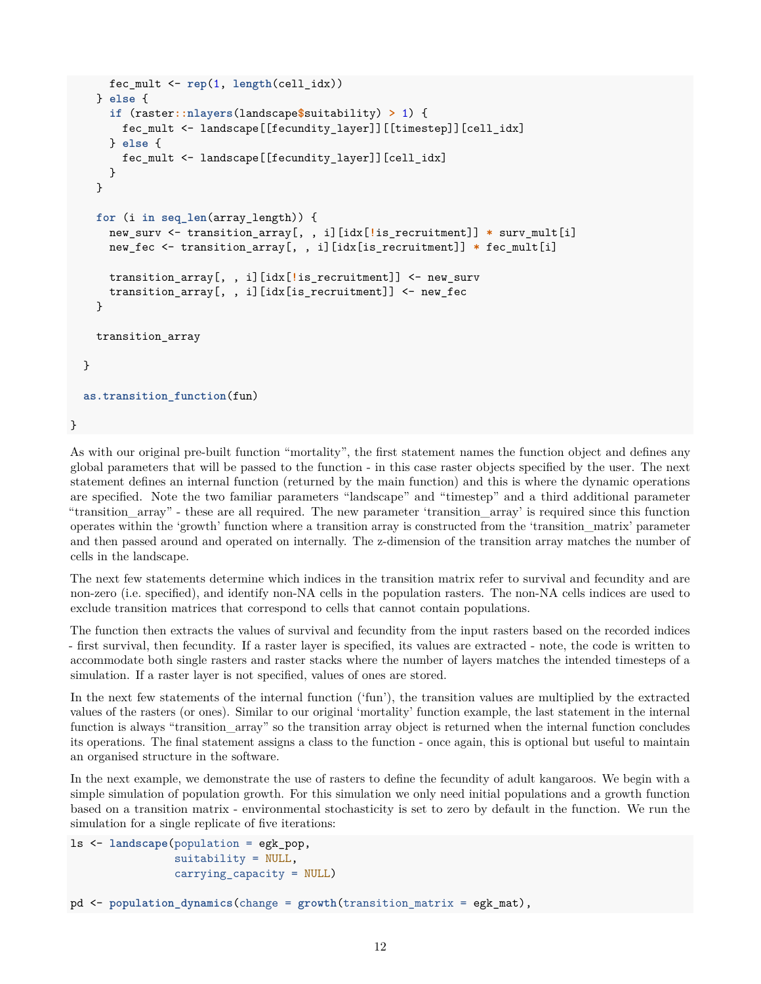```
fec_mult <- rep(1, length(cell_idx))
  } else {
    if (raster::nlayers(landscape$suitability) > 1) {
      fec_mult <- landscape[[fecundity_layer]][[timestep]][cell_idx]
    } else {
      fec_mult <- landscape[[fecundity_layer]][cell_idx]
    }
  }
  for (i in seq_len(array_length)) {
    new_surv <- transition_array[, , i][idx[!is_recruitment]] * surv_mult[i]
    new_fec <- transition_array[, , i][idx[is_recruitment]] * fec_mult[i]
    transition_array[, , i][idx[!is_recruitment]] <- new_surv
    transition_array[, , i][idx[is_recruitment]] <- new_fec
  }
  transition_array
}
as.transition_function(fun)
```
}

As with our original pre-built function "mortality", the first statement names the function object and defines any global parameters that will be passed to the function - in this case raster objects specified by the user. The next statement defines an internal function (returned by the main function) and this is where the dynamic operations are specified. Note the two familiar parameters "landscape" and "timestep" and a third additional parameter "transition\_array" - these are all required. The new parameter 'transition\_array' is required since this function operates within the 'growth' function where a transition array is constructed from the 'transition\_matrix' parameter and then passed around and operated on internally. The z-dimension of the transition array matches the number of cells in the landscape.

The next few statements determine which indices in the transition matrix refer to survival and fecundity and are non-zero (i.e. specified), and identify non-NA cells in the population rasters. The non-NA cells indices are used to exclude transition matrices that correspond to cells that cannot contain populations.

The function then extracts the values of survival and fecundity from the input rasters based on the recorded indices - first survival, then fecundity. If a raster layer is specified, its values are extracted - note, the code is written to accommodate both single rasters and raster stacks where the number of layers matches the intended timesteps of a simulation. If a raster layer is not specified, values of ones are stored.

In the next few statements of the internal function ('fun'), the transition values are multiplied by the extracted values of the rasters (or ones). Similar to our original 'mortality' function example, the last statement in the internal function is always "transition\_array" so the transition array object is returned when the internal function concludes its operations. The final statement assigns a class to the function - once again, this is optional but useful to maintain an organised structure in the software.

In the next example, we demonstrate the use of rasters to define the fecundity of adult kangaroos. We begin with a simple simulation of population growth. For this simulation we only need initial populations and a growth function based on a transition matrix - environmental stochasticity is set to zero by default in the function. We run the simulation for a single replicate of five iterations:

```
ls <- landscape(population = egk_pop,
                suitability = NULL,
                carrying_capacity = NULL)
pd <- population_dynamics(change = growth(transition_matrix = egk_mat),
```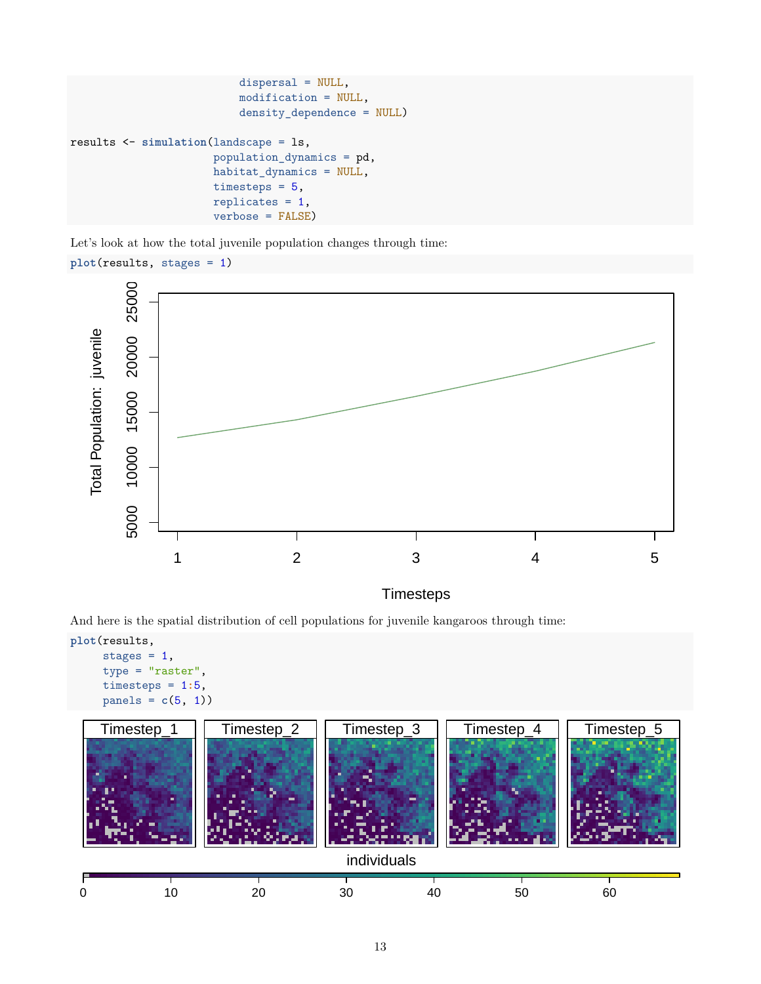```
dispersal = NULL,
                          modification = NULL,
                           density_dependence = NULL)
results <- simulation(landscape = ls,
                      population_dynamics = pd,
                      habitat_dynamics = NULL,
                      timesteps = 5,
                      replicates = 1,
                      verbose = FALSE)
```
Let's look at how the total juvenile population changes through time:

```
plot(results, stages = 1)
```


**Timesteps** 

And here is the spatial distribution of cell populations for juvenile kangaroos through time:

```
plot(results,
     stages = 1,
     type = "raster",
     timesteps = 1:5,
     panes = c(5, 1)
```
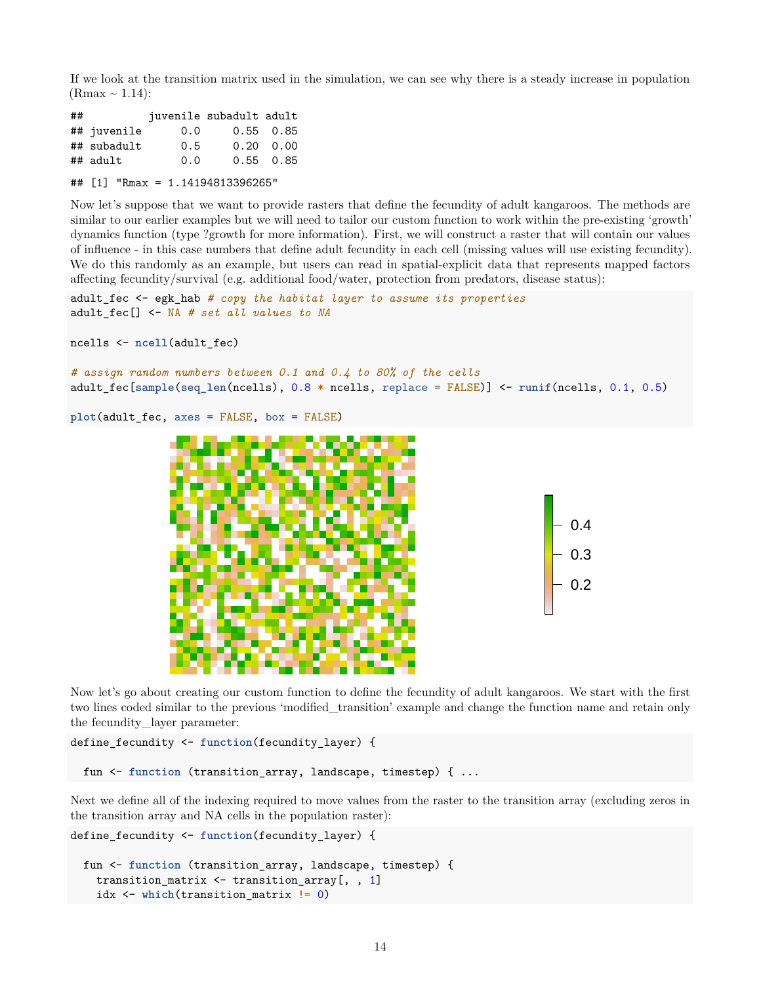If we look at the transition matrix used in the simulation, we can see why there is a steady increase in population  $(Rmax \sim 1.14)$ :

| ## |             |     | juvenile subadult adult |                   |
|----|-------------|-----|-------------------------|-------------------|
|    | ## juvenile | 0.0 |                         | $0.55 \quad 0.85$ |
|    | ## subadult | 0.5 |                         | $0.20 \quad 0.00$ |
|    | ## adult    | 0.0 |                         | $0.55 \quad 0.85$ |
|    |             |     |                         |                   |

## [1] "Rmax = 1.14194813396265"

Now let's suppose that we want to provide rasters that define the fecundity of adult kangaroos. The methods are similar to our earlier examples but we will need to tailor our custom function to work within the pre-existing 'growth' dynamics function (type ?growth for more information). First, we will construct a raster that will contain our values of influence - in this case numbers that define adult fecundity in each cell (missing values will use existing fecundity). We do this randomly as an example, but users can read in spatial-explicit data that represents mapped factors affecting fecundity/survival (e.g. additional food/water, protection from predators, disease status):

```
adult_fec <- egk_hab # copy the habitat layer to assume its properties
adult_fec[] <- NA # set all values to NA
```

```
ncells <- ncell(adult_fec)
```

```
# assign random numbers between 0.1 and 0.4 to 80% of the cells
adult_fec[sample(seq_len(ncells), 0.8 * ncells, replace = FALSE)] <- runif(ncells, 0.1, 0.5)
```

```
plot(adult_fec, axes = FALSE, box = FALSE)
```


Now let's go about creating our custom function to define the fecundity of adult kangaroos. We start with the first two lines coded similar to the previous 'modified\_transition' example and change the function name and retain only the fecundity\_layer parameter:

```
define_fecundity <- function(fecundity_layer) {
```

```
fun <- function (transition_array, landscape, timestep) { ...
```
Next we define all of the indexing required to move values from the raster to the transition array (excluding zeros in the transition array and NA cells in the population raster):

```
define_fecundity <- function(fecundity_layer) {
 fun <- function (transition_array, landscape, timestep) {
    transition_matrix <- transition_array[, , 1]
    idx <- which(transition_matrix != 0)
```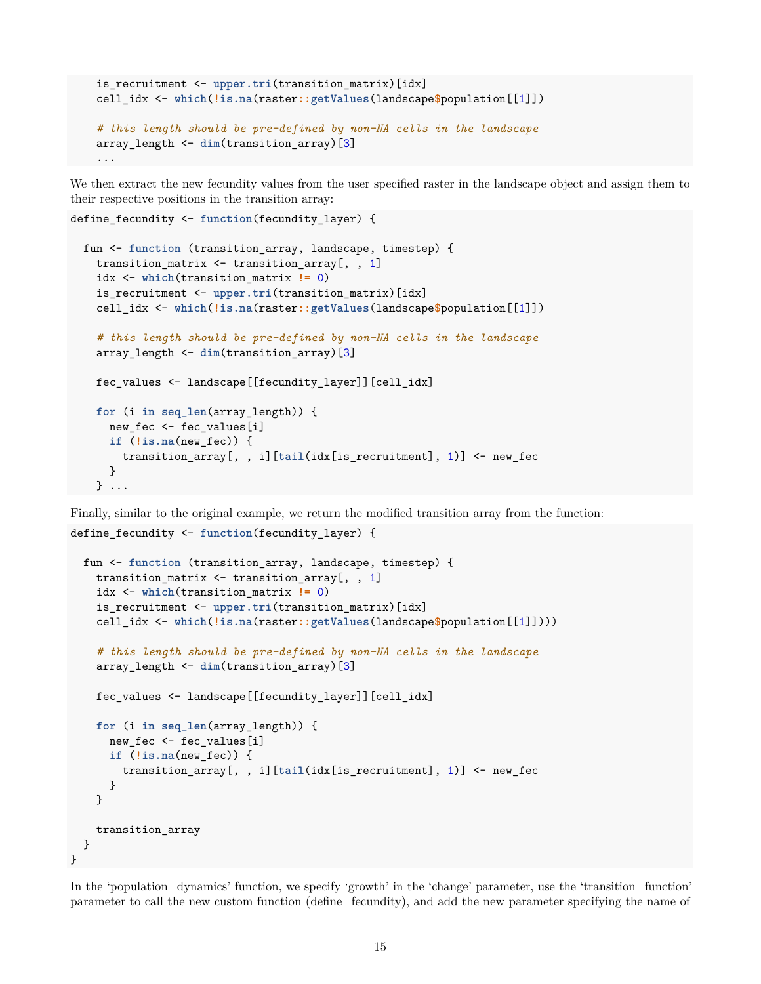```
is recruitment <- upper.tri(transition matrix)[idx]
cell_idx <- which(!is.na(raster::getValues(landscape$population[[1]])
# this length should be pre-defined by non-NA cells in the landscape
array_length <- dim(transition_array)[3]
...
```
We then extract the new fecundity values from the user specified raster in the landscape object and assign them to their respective positions in the transition array:

```
fun <- function (transition_array, landscape, timestep) {
  transition_matrix <- transition_array[, , 1]
  idx <- which(transition_matrix != 0)
  is_recruitment <- upper.tri(transition_matrix)[idx]
  cell_idx <- which(!is.na(raster::getValues(landscape$population[[1]])
  # this length should be pre-defined by non-NA cells in the landscape
  array_length <- dim(transition_array)[3]
  fec_values <- landscape[[fecundity_layer]][cell_idx]
  for (i in seq_len(array_length)) {
   new_fec <- fec_values[i]
    if (!is.na(new_fec)) {
      transition_array[, , i][tail(idx[is_recruitment], 1)] <- new_fec
    }
  } ...
```
define\_fecundity <- **function**(fecundity\_layer) {

Finally, similar to the original example, we return the modified transition array from the function: define\_fecundity <- **function**(fecundity\_layer) {

```
fun <- function (transition_array, landscape, timestep) {
    transition_matrix <- transition_array[, , 1]
   idx <- which(transition_matrix != 0)
    is_recruitment <- upper.tri(transition_matrix)[idx]
    cell_idx <- which(!is.na(raster::getValues(landscape$population[[1]])))
    # this length should be pre-defined by non-NA cells in the landscape
    array_length <- dim(transition_array)[3]
   fec_values <- landscape[[fecundity_layer]][cell_idx]
   for (i in seq_len(array_length)) {
     new fec <- fec values[i]
     if (!is.na(new_fec)) {
        transition_array[, , i][tail(idx[is_recruitment], 1)] <- new_fec
     }
    }
    transition_array
 }
}
```
In the 'population\_dynamics' function, we specify 'growth' in the 'change' parameter, use the 'transition\_function' parameter to call the new custom function (define\_fecundity), and add the new parameter specifying the name of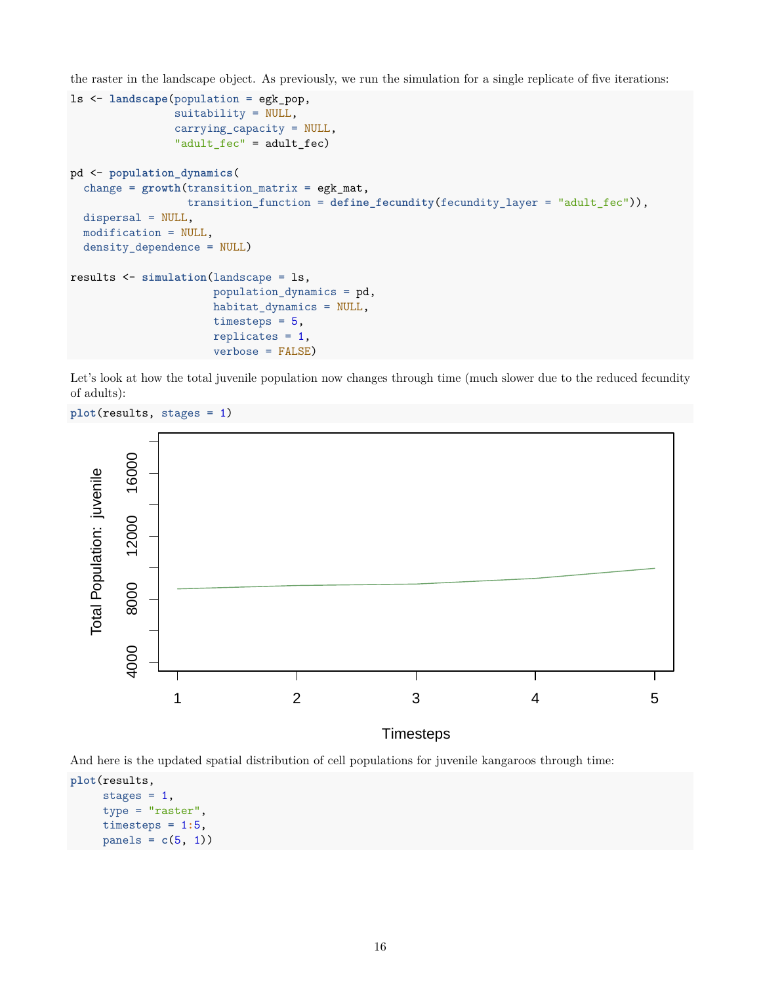the raster in the landscape object. As previously, we run the simulation for a single replicate of five iterations:

```
ls <- landscape(population = egk_pop,
                suitability = NULL,
                carrying_capacity = NULL,
                "adult_fec" = adult_fec)
pd <- population_dynamics(
  change = growth(transition_matrix = egk_mat,
                  transition_function = define_fecundity(fecundity_layer = "adult_fec")),
  dispersal = NULL,
  modification = NULL,
  density_dependence = NULL)
results <- simulation(landscape = ls,
                      population_dynamics = pd,
                      habitat_dynamics = NULL,
                      timesteps = 5,
                      replicates = 1,
                      verbose = FALSE)
```
Let's look at how the total juvenile population now changes through time (much slower due to the reduced fecundity of adults):

**plot**(results, stages = 1)



And here is the updated spatial distribution of cell populations for juvenile kangaroos through time:

```
plot(results,
     stages = 1,
     type = "raster",
     timesteps = 1:5,
     panes = c(5, 1)
```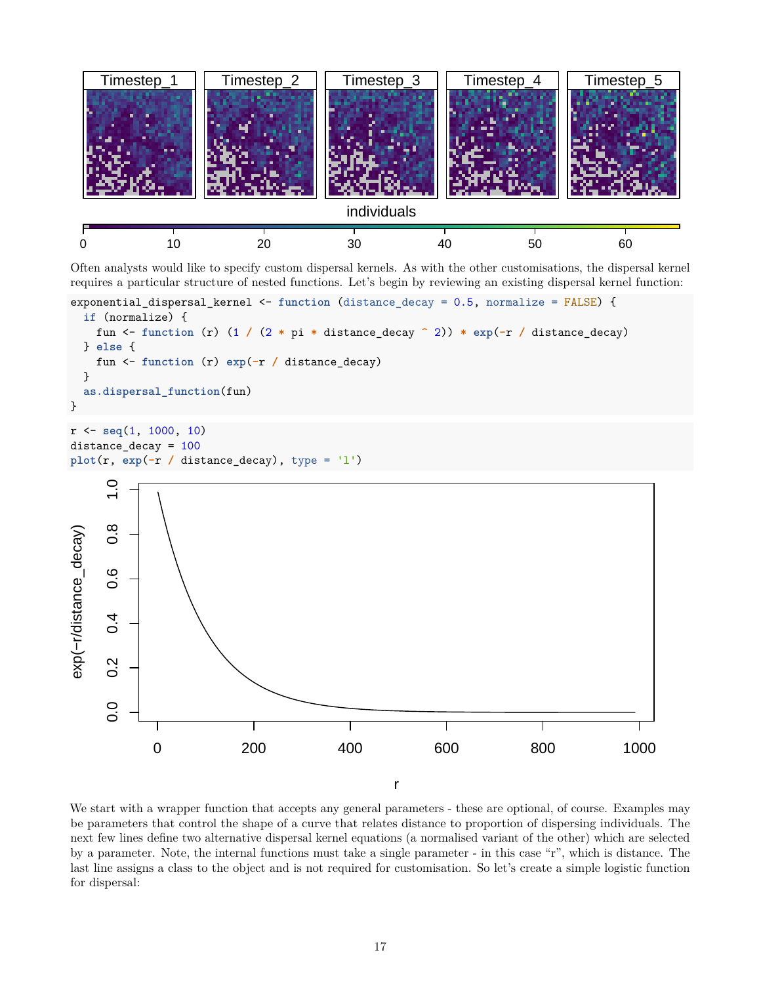

Often analysts would like to specify custom dispersal kernels. As with the other customisations, the dispersal kernel requires a particular structure of nested functions. Let's begin by reviewing an existing dispersal kernel function:



We start with a wrapper function that accepts any general parameters - these are optional, of course. Examples may be parameters that control the shape of a curve that relates distance to proportion of dispersing individuals. The next few lines define two alternative dispersal kernel equations (a normalised variant of the other) which are selected by a parameter. Note, the internal functions must take a single parameter - in this case "r", which is distance. The last line assigns a class to the object and is not required for customisation. So let's create a simple logistic function for dispersal: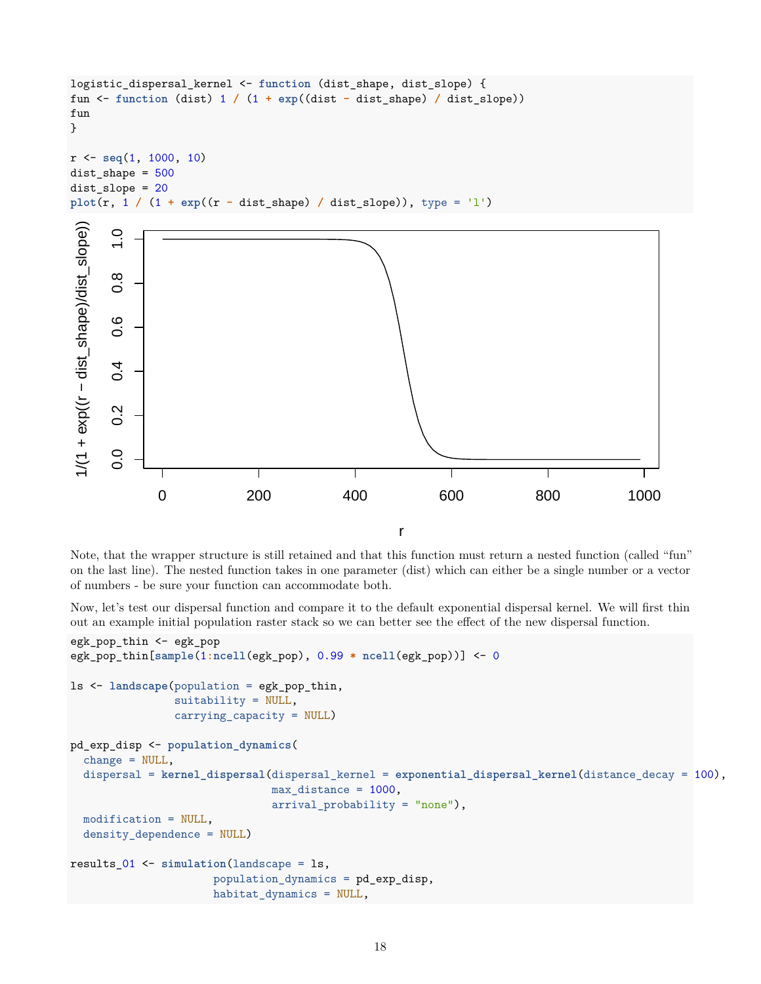```
logistic_dispersal_kernel <- function (dist_shape, dist_slope) {
fun <- function (dist) 1 / (1 + exp((dist - dist_shape) / dist_slope))
fun
}
r <- seq(1, 1000, 10)
dist shape = 500dist_slope = 20
plot(r, 1 / (1 + exp((r - dist_shape) / dist_slope)), type = 'l')
```


r

Note, that the wrapper structure is still retained and that this function must return a nested function (called "fun" on the last line). The nested function takes in one parameter (dist) which can either be a single number or a vector of numbers - be sure your function can accommodate both.

Now, let's test our dispersal function and compare it to the default exponential dispersal kernel. We will first thin out an example initial population raster stack so we can better see the effect of the new dispersal function.

```
egk_pop_thin <- egk_pop
egk_pop_thin[sample(1:ncell(egk_pop), 0.99 * ncell(egk_pop))] <- 0
ls <- landscape(population = egk_pop_thin,
                suitability = NULL,
                carrying_capacity = NULL)
pd_exp_disp <- population_dynamics(
  change = NULL,dispersal = kernel_dispersal(dispersal_kernel = exponential_dispersal_kernel(distance_decay = 100),
                               max_distance = 1000,
                               arrival_probability = "none"),
  modification = NULL,
  density_dependence = NULL)
results_01 <- simulation(landscape = ls,
                      population_dynamics = pd_exp_disp,
                      habitat_dynamics = NULL,
```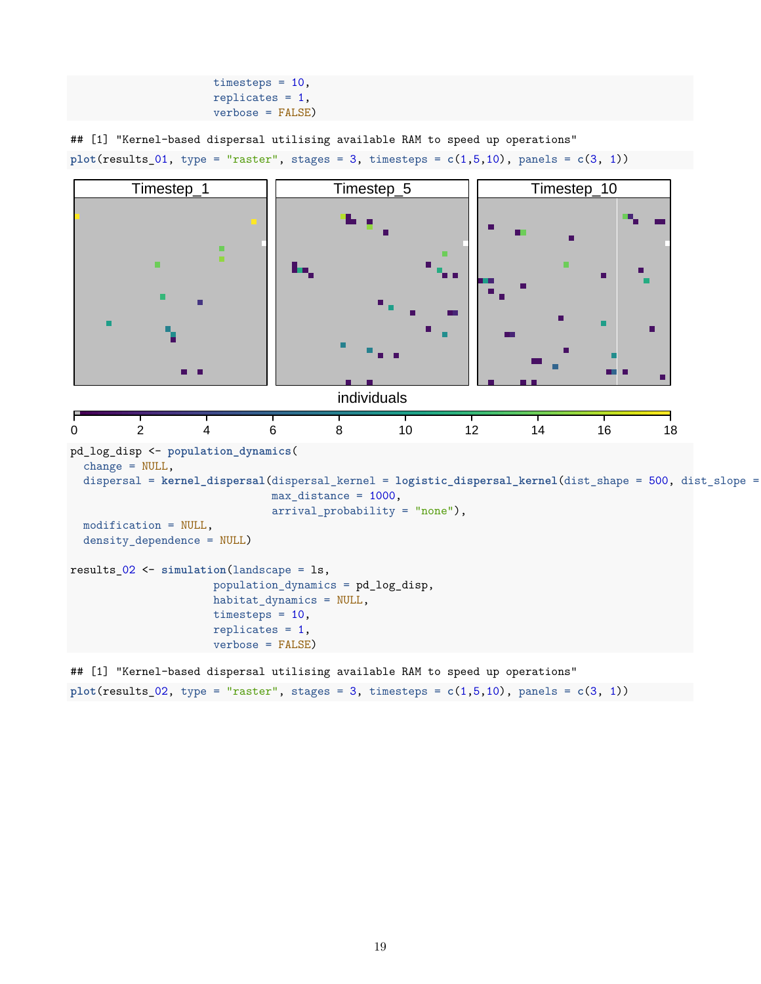```
timesteps = 10,
replicates = 1,
verbose = FALSE)
```
## [1] "Kernel-based dispersal utilising available RAM to speed up operations"

```
plot(results_01, type = "raster", stages = 3, times the set <math>c(1,5,10)</math>, panels = <math>c(3, 1)</math>
```


## [1] "Kernel-based dispersal utilising available RAM to speed up operations" **plot**(results\_02, type = "raster", stages = 3, timesteps = **c**(1,5,10), panels = **c**(3, 1))